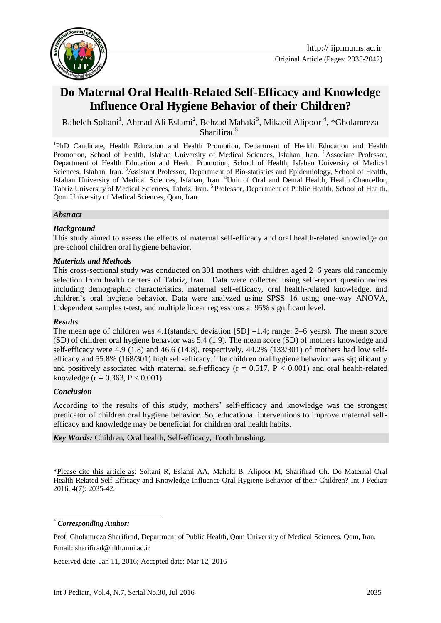

# **Do Maternal Oral Health-Related Self-Efficacy and Knowledge Influence Oral Hygiene Behavior of their Children?**

Raheleh Soltani<sup>1</sup>, Ahmad Ali Eslami<sup>2</sup>, Behzad Mahaki<sup>3</sup>, Mikaeil Alipoor<sup>4</sup>, \*Gholamreza Sharifirad<sup>5</sup>

<sup>1</sup>PhD Candidate, Health Education and Health Promotion, Department of Health Education and Health Promotion, School of Health, Isfahan University of Medical Sciences, Isfahan, Iran. <sup>2</sup>Associate Professor, Department of Health Education and Health Promotion, School of Health, Isfahan University of Medical Sciences, Isfahan, Iran. <sup>3</sup>Assistant Professor, Department of Bio-statistics and Epidemiology, School of Health, Isfahan University of Medical Sciences, Isfahan, Iran. <sup>4</sup>Unit of Oral and Dental Health, Health Chancellor, Tabriz University of Medical Sciences, Tabriz, Iran.<sup>5</sup> Professor, Department of Public Health, School of Health, Qom University of Medical Sciences, Qom, Iran.

### *Abstract*

### *Background*

This study aimed to assess the effects of maternal self-efficacy and oral health-related knowledge on pre-school children oral hygiene behavior.

### *Materials and Methods*

This cross-sectional study was conducted on 301 mothers with children aged 2–6 years old randomly selection from health centers of Tabriz, Iran. Data were collected using self-report questionnaires including demographic characteristics, maternal self-efficacy, oral health-related knowledge, and children's oral hygiene behavior. Data were analyzed using SPSS 16 using one-way ANOVA, Independent samples t-test, and multiple linear regressions at 95% significant level.

#### *Results*

The mean age of children was  $4.1$ (standard deviation [SD] =1.4; range: 2–6 years). The mean score (SD) of children oral hygiene behavior was 5.4 (1.9). The mean score (SD) of mothers knowledge and self-efficacy were 4.9 (1.8) and 46.6 (14.8), respectively. 44.2% (133/301) of mothers had low selfefficacy and 55.8% (168/301) high self-efficacy. The children oral hygiene behavior was significantly and positively associated with maternal self-efficacy ( $r = 0.517$ ,  $P < 0.001$ ) and oral health-related knowledge ( $r = 0.363$ ,  $P < 0.001$ ).

### *Conclusion*

According to the results of this study, mothers' self-efficacy and knowledge was the strongest predicator of children oral hygiene behavior. So, educational interventions to improve maternal selfefficacy and knowledge may be beneficial for children oral health habits.

*Key Words:* Children, Oral health, Self-efficacy, Tooth brushing.

\*Please cite this article as: Soltani R, Eslami AA, Mahaki B, Alipoor M, Sharifirad Gh. Do Maternal Oral Health-Related Self-Efficacy and Knowledge Influence Oral Hygiene Behavior of their Children? Int J Pediatr 2016; 4(7): 2035-42.

\* *Corresponding Author:*

<u>.</u>

Received date: Jan 11, 2016; Accepted date: Mar 12, 2016

Prof. Gholamreza Sharifirad, Department of Public Health, Qom University of Medical Sciences, Qom, Iran. Email: sharifirad@hlth.mui.ac.ir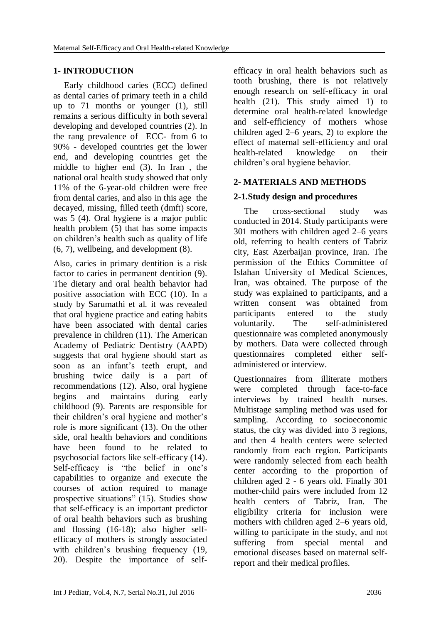# **1- INTRODUCTION**

Early childhood caries (ECC) defined as dental caries of primary teeth in a child up to 71 months or younger (1), still remains a serious difficulty in both several developing and developed countries (2). In the rang prevalence of ECC- from 6 to 90% - developed countries get the lower end, and developing countries get the middle to higher end (3). In Iran , the national oral health study showed that only 11% of the 6-year-old children were free from dental caries, and also in this age the decayed, missing, filled teeth (dmft) score, was 5 (4). Oral hygiene is a major public health problem (5) that has some impacts on children's health such as quality of life (6, 7), wellbeing, and development (8).

Also, caries in primary dentition is a risk factor to caries in permanent dentition (9). The dietary and oral health behavior had positive association with ECC (10). In a study by Sarumathi et al. it was revealed that oral hygiene practice and eating habits have been associated with dental caries prevalence in children (11). The American Academy of Pediatric Dentistry (AAPD) suggests that oral hygiene should start as soon as an infant's teeth erupt, and brushing twice daily is a part of recommendations (12). Also, oral hygiene begins and maintains during early childhood (9). Parents are responsible for their children's oral hygiene and mother's role is more significant (13). On the other side, oral health behaviors and conditions have been found to be related to psychosocial factors like self-efficacy (14). Self-efficacy is "the belief in one's capabilities to organize and execute the courses of action required to manage prospective situations" (15). Studies show that self-efficacy is an important predictor of oral health behaviors such as brushing and flossing (16-18); also higher selfefficacy of mothers is strongly associated with children's brushing frequency (19, 20). Despite the importance of self-

efficacy in oral health behaviors such as tooth brushing, there is not relatively enough research on self-efficacy in oral health (21). This study aimed 1) to determine oral health-related knowledge and self-efficiency of mothers whose children aged 2–6 years, 2) to explore the effect of maternal self-efficiency and oral health-related knowledge on their children's oral hygiene behavior.

# **2- MATERIALS AND METHODS**

# **2-1.Study design and procedures**

The cross-sectional study was conducted in 2014. Study participants were 301 mothers with children aged 2–6 years old, referring to health centers of Tabriz city, East Azerbaijan province, Iran. The permission of the Ethics Committee of Isfahan University of Medical Sciences, Iran, was obtained. The purpose of the study was explained to participants, and a written consent was obtained from participants entered to the study voluntarily. The self-administered questionnaire was completed anonymously by mothers. Data were collected through questionnaires completed either selfadministered or interview.

Questionnaires from illiterate mothers were completed through face-to-face interviews by trained health nurses. Multistage sampling method was used for sampling. According to socioeconomic status, the city was divided into 3 regions, and then 4 health centers were selected randomly from each region. Participants were randomly selected from each health center according to the proportion of children aged 2 - 6 years old. Finally 301 mother-child pairs were included from 12 health centers of Tabriz, Iran. The eligibility criteria for inclusion were mothers with children aged 2–6 years old, willing to participate in the study, and not suffering from special mental and emotional diseases based on maternal selfreport and their medical profiles.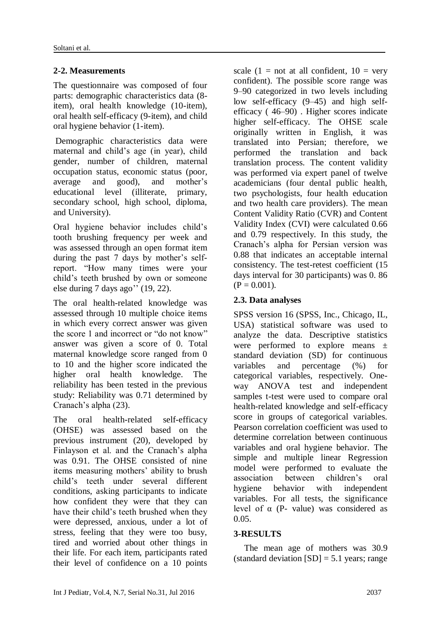# **2-2. Measurements**

The questionnaire was composed of four parts: demographic characteristics data (8 item), oral health knowledge (10-item), oral health self-efficacy (9-item), and child oral hygiene behavior (1-item).

Demographic characteristics data were maternal and child's age (in year), child gender, number of children, maternal occupation status, economic status (poor, average and good), and mother's educational level (illiterate, primary, secondary school, high school, diploma, and University).

Oral hygiene behavior includes child's tooth brushing frequency per week and was assessed through an open format item during the past 7 days by mother's selfreport. "How many times were your child's teeth brushed by own or someone else during 7 days ago'' (19, 22).

The oral health-related knowledge was assessed through 10 multiple choice items in which every correct answer was given the score 1 and incorrect or "do not know" answer was given a score of 0. Total maternal knowledge score ranged from 0 to 10 and the higher score indicated the higher oral health knowledge. The reliability has been tested in the previous study: Reliability was 0.71 determined by Cranach's alpha (23).

The oral health-related self-efficacy (OHSE) was assessed based on the previous instrument (20), developed by Finlayson et al. and the Cranach's alpha was 0.91. The OHSE consisted of nine items measuring mothers' ability to brush child's teeth under several different conditions, asking participants to indicate how confident they were that they can have their child's teeth brushed when they were depressed, anxious, under a lot of stress, feeling that they were too busy, tired and worried about other things in their life. For each item, participants rated their level of confidence on a 10 points scale (1 = not at all confident,  $10 = \text{very}$ ) confident). The possible score range was 9–90 categorized in two levels including low self-efficacy (9–45) and high selfefficacy ( 46–90) . Higher scores indicate higher self-efficacy. The OHSE scale originally written in English, it was translated into Persian; therefore, we performed the translation and back translation process. The content validity was performed via expert panel of twelve academicians (four dental public health, two psychologists, four health education and two health care providers). The mean Content Validity Ratio (CVR) and Content Validity Index (CVI) were calculated 0.66 and 0.79 respectively. In this study, the Cranach's alpha for Persian version was 0.88 that indicates an acceptable internal consistency. The test-retest coefficient (15 days interval for 30 participants) was 0. 86  $(P = 0.001)$ .

# **2.3. Data analyses**

SPSS version 16 (SPSS, Inc., Chicago, IL, USA) statistical software was used to analyze the data. Descriptive statistics were performed to explore means ± standard deviation (SD) for continuous variables and percentage (%) for categorical variables, respectively. Oneway ANOVA test and independent samples t-test were used to compare oral health-related knowledge and self-efficacy score in groups of categorical variables. Pearson correlation coefficient was used to determine correlation between continuous variables and oral hygiene behavior. The simple and multiple linear Regression model were performed to evaluate the association between children's oral hygiene behavior with independent variables. For all tests, the significance level of α (P- value) was considered as 0.05.

### **3-RESULTS**

The mean age of mothers was 30.9 (standard deviation  $[SD] = 5.1$  years; range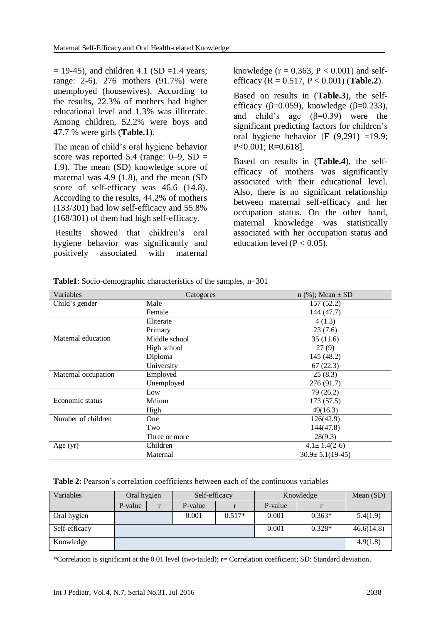$= 19-45$ ), and children 4.1 (SD =1.4 years; range: 2-6). 276 mothers (91.7%) were unemployed (housewives). According to the results, 22.3% of mothers had higher educational level and 1.3% was illiterate. Among children, 52.2% were boys and 47.7 % were girls (**Table.1**).

The mean of child's oral hygiene behavior score was reported 5.4 (range:  $0-9$ , SD = 1.9). The mean (SD) knowledge score of maternal was 4.9 (1.8), and the mean (SD score of self-efficacy was 46.6 (14.8). According to the results, 44.2% of mothers (133/301) had low self-efficacy and 55.8% (168/301) of them had high self-efficacy.

Results showed that children's oral hygiene behavior was significantly and positively associated with maternal knowledge ( $r = 0.363$ ,  $P < 0.001$ ) and selfefficacy (R = 0.517, P < 0.001) (**Table.2**).

Based on results in (**Table.3**), the selfefficacy ( $\beta$ =0.059), knowledge ( $\beta$ =0.233), and child's age  $(\beta=0.39)$  were the significant predicting factors for children's oral hygiene behavior  $[F (9,291) =19.9;$ P<0.001; R=0.618].

Based on results in (**Table.4**), the selfefficacy of mothers was significantly associated with their educational level. Also, there is no significant relationship between maternal self-efficacy and her occupation status. On the other hand, maternal knowledge was statistically associated with her occupation status and education level ( $P < 0.05$ ).

| Variables           | Catogores     | n $(\%);$ Mean $\pm$ SD |
|---------------------|---------------|-------------------------|
| Child's gender      | Male          | 157(52.2)               |
|                     | Female        | 144 (47.7)              |
|                     | Illiterate    | 4(1.3)                  |
|                     | Primary       | 23(7.6)                 |
| Maternal education  | Middle school | 35(11.6)                |
|                     | High school   | 27(9)                   |
|                     | Diploma       | 145 (48.2)              |
|                     | University    | 67(22.3)                |
| Maternal occupation | Employed      | 25(8.3)                 |
|                     | Unemployed    | 276 (91.7)              |
|                     | Low           | 79(26.2)                |
| Economic status     | Mdium         | 173 (57.5)              |
|                     | High          | 49(16.3)                |
| Number of children  | One           | 126(42.9)               |
|                     | Two           | 144(47.8)               |
|                     | Three or more | 28(9.3)                 |
| Age $(yr)$          | Children      | $4.1 \pm 1.4(2-6)$      |
|                     | Maternal      | $30.9 \pm 5.1(19-45)$   |

**Table1**: Socio-demographic characteristics of the samples, n=301

#### **Table 2**: Pearson's correlation coefficients between each of the continuous variables

| Variables     | Oral hygien |  | Self-efficacy |          | Knowledge |          | Mean (SD)  |
|---------------|-------------|--|---------------|----------|-----------|----------|------------|
|               | P-value     |  | P-value       |          | P-value   |          |            |
| Oral hygien   |             |  | 0.001         | $0.517*$ | 0.001     | $0.363*$ | 5.4(1.9)   |
| Self-efficacy |             |  |               |          | 0.001     | $0.328*$ | 46.6(14.8) |
| Knowledge     |             |  |               |          |           |          | 4.9(1.8)   |

\*Correlation is significant at the 0.01 level (two-tailed); r= Correlation coefficient; SD: Standard deviation.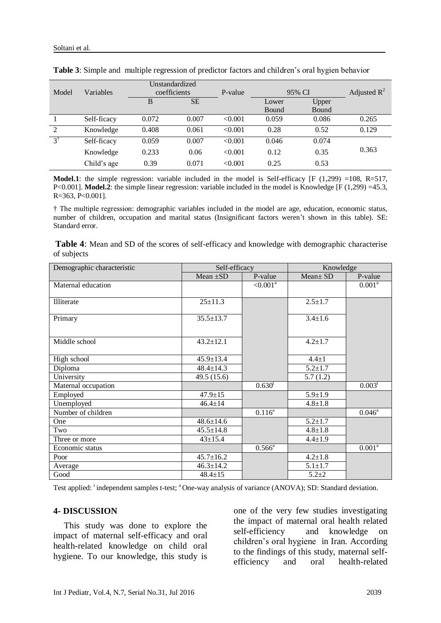|               |             |              | Unstandardized |         |        |       |                |
|---------------|-------------|--------------|----------------|---------|--------|-------|----------------|
| Model         | Variables   | coefficients |                | P-value | 95% CI |       | Adjusted $R^2$ |
|               |             | B            | <b>SE</b>      |         | Lower  | Upper |                |
|               |             |              |                |         | Bound  | Bound |                |
|               | Self-ficacy | 0.072        | 0.007          | < 0.001 | 0.059  | 0.086 | 0.265          |
| 2             | Knowledge   | 0.408        | 0.061          | < 0.001 | 0.28   | 0.52  | 0.129          |
| $3^{\dagger}$ | Self-ficacy | 0.059        | 0.007          | < 0.001 | 0.046  | 0.074 |                |
|               | Knowledge   | 0.233        | 0.06           | < 0.001 | 0.12   | 0.35  | 0.363          |
|               | Child's age | 0.39         | 0.071          | < 0.001 | 0.25   | 0.53  |                |

|  | Table 3: Simple and multiple regression of predictor factors and children's oral hygien behavior |
|--|--------------------------------------------------------------------------------------------------|
|  |                                                                                                  |

**Model.1**: the simple regression: variable included in the model is Self-efficacy  $[F (1,299) = 108, R=517,$ P<0.001]. **Model.2**: the simple linear regression: variable included in the model is Knowledge [F (1,299) =45.3, R=363, P<0.001].

† The multiple regression: demographic variables included in the model are age, education, economic status, number of children, occupation and marital status (Insignificant factors weren't shown in this table). SE: Standard error.

| Table 4: Mean and SD of the scores of self-efficacy and knowledge with demographic characterise |  |  |  |
|-------------------------------------------------------------------------------------------------|--|--|--|
| of subjects                                                                                     |  |  |  |

| Demographic characteristic | Self-efficacy   |                    | Knowledge     |                    |
|----------------------------|-----------------|--------------------|---------------|--------------------|
|                            | Mean $\pm SD$   | P-value            | $Mean \pm SD$ | P-value            |
| Maternal education         |                 | $< 0.001^a$        |               | 0.001 <sup>a</sup> |
|                            |                 |                    |               |                    |
| Illiterate                 | $25 \pm 11.3$   |                    | $2.5 \pm 1.7$ |                    |
|                            |                 |                    |               |                    |
| Primary                    | $35.5 \pm 13.7$ |                    | $3.4 \pm 1.6$ |                    |
|                            |                 |                    |               |                    |
| Middle school              | $43.2 \pm 12.1$ |                    | $4.2 \pm 1.7$ |                    |
|                            |                 |                    |               |                    |
| High school                | $45.9 \pm 13.4$ |                    | $4.4 \pm 1$   |                    |
| Diploma                    | $48.4 \pm 14.3$ |                    | $5.2 \pm 1.7$ |                    |
| University                 | 49.5(15.6)      |                    | 5.7(1.2)      |                    |
| Maternal occupation        |                 | 0.630 <sup>t</sup> |               | $0.003^t$          |
| Employed                   | $47.9 \pm 15$   |                    | $5.9 \pm 1.9$ |                    |
| Unemployed                 | $46.4 \pm 14$   |                    | $4.8 \pm 1.8$ |                    |
| Number of children         |                 | $0.116^a$          |               | $0.046^{\circ}$    |
| One                        | $48.6 \pm 14.6$ |                    | $5.2 \pm 1.7$ |                    |
| Two                        | $45.5 \pm 14.8$ |                    | $4.8 \pm 1.8$ |                    |
| Three or more              | $43 \pm 15.4$   |                    | $4.4 \pm 1.9$ |                    |
| Economic status            |                 | $0.566^{\circ}$    |               | 0.001 <sup>a</sup> |
| Poor                       | $45.7 \pm 16.2$ |                    | $4.2 \pm 1.8$ |                    |
| Average                    | $46.3 \pm 14.2$ |                    | $5.1 \pm 1.7$ |                    |
| Good                       | $48.4 \pm 15$   |                    | $5.2 + 2$     |                    |

Test applied: <sup>t</sup>independent samples t-test; <sup>a</sup> One-way analysis of variance (ANOVA); SD: Standard deviation.

#### **4- DISCUSSION**

This study was done to explore the impact of maternal self-efficacy and oral health-related knowledge on child oral hygiene. To our knowledge, this study is

one of the very few studies investigating the impact of maternal oral health related self-efficiency and knowledge on children's oral hygiene in Iran. According to the findings of this study, maternal selfefficiency and oral health-related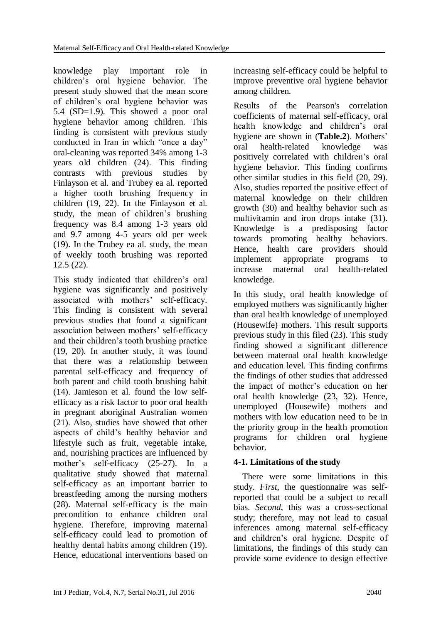knowledge play important role in children's oral hygiene behavior. The present study showed that the mean score of children's oral hygiene behavior was 5.4 (SD=1.9). This showed a poor oral hygiene behavior among children. This finding is consistent with previous study conducted in Iran in which "once a day" oral-cleaning was reported 34% among 1-3 years old children (24). This finding contrasts with previous studies by Finlayson et al. and Trubey ea al. reported a higher tooth brushing frequency in children (19, 22). In the Finlayson et al. study, the mean of children's brushing frequency was 8.4 among 1-3 years old and 9.7 among 4-5 years old per week (19). In the Trubey ea al. study, the mean of weekly tooth brushing was reported 12.5 (22).

This study indicated that children's oral hygiene was significantly and positively associated with mothers' self-efficacy. This finding is consistent with several previous studies that found a significant association between mothers' self-efficacy and their children's tooth brushing practice (19, 20). In another study, it was found that there was a relationship between parental self-efficacy and frequency of both parent and child tooth brushing habit (14). Jamieson et al. found the low selfefficacy as a risk factor to poor oral health in pregnant aboriginal Australian women (21). Also, studies have showed that other aspects of child's healthy behavior and lifestyle such as fruit, vegetable intake, and, nourishing practices are influenced by mother's self-efficacy (25-27). In a qualitative study showed that maternal self-efficacy as an important barrier to breastfeeding among the nursing mothers (28). Maternal self-efficacy is the main precondition to enhance children oral hygiene. Therefore, improving maternal self-efficacy could lead to promotion of healthy dental habits among children (19). Hence, educational interventions based on

increasing self-efficacy could be helpful to improve preventive oral hygiene behavior among children.

Results of the Pearson's correlation coefficients of maternal self-efficacy, oral health knowledge and children's oral hygiene are shown in (**Table.2**). Mothers' oral health-related knowledge was positively correlated with children's oral hygiene behavior. This finding confirms other similar studies in this field (20, 29). Also, studies reported the positive effect of maternal knowledge on their children growth (30) and healthy behavior such as multivitamin and iron drops intake (31). Knowledge is a predisposing factor towards promoting healthy behaviors. Hence, health care providers should implement appropriate programs to increase maternal oral health-related knowledge.

In this study, oral health knowledge of employed mothers was significantly higher than oral health knowledge of unemployed (Housewife) mothers. This result supports previous study in this filed (23). This study finding showed a significant difference between maternal oral health knowledge and education level. This finding confirms the findings of other studies that addressed the impact of mother's education on her oral health knowledge (23, 32). Hence, unemployed (Housewife) mothers and mothers with low education need to be in the priority group in the health promotion programs for children oral hygiene behavior.

# **4-1. Limitations of the study**

 There were some limitations in this study. *First*, the questionnaire was selfreported that could be a subject to recall bias. *Second*, this was a cross-sectional study; therefore, may not lead to casual inferences among maternal self-efficacy and children's oral hygiene. Despite of limitations, the findings of this study can provide some evidence to design effective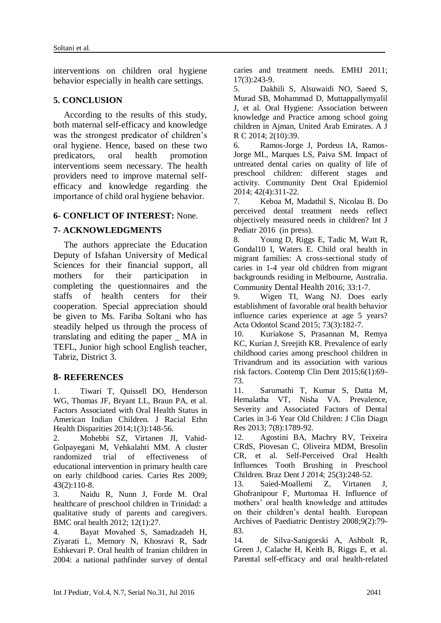interventions on children oral hygiene behavior especially in health care settings.

### **5. CONCLUSION**

According to the results of this study, both maternal self-efficacy and knowledge was the strongest predicator of children's oral hygiene. Hence, based on these two predicators, oral health promotion interventions seem necessary. The health providers need to improve maternal selfefficacy and knowledge regarding the importance of child oral hygiene behavior.

### **6- CONFLICT OF INTEREST:** None.

### **7- ACKNOWLEDGMENTS**

The authors appreciate the Education Deputy of Isfahan University of Medical Sciences for their financial support, all mothers for their participation in completing the questionnaires and the staffs of health centers for their cooperation. Special appreciation should be given to Ms. Fariba Soltani who has steadily helped us through the process of translating and editing the paper \_ MA in TEFL, Junior high school English teacher, Tabriz, District 3.

### **8- REFERENCES**

1. Tiwari T, Quissell DO, Henderson WG, Thomas JF, Bryant LL, Braun PA, et al. Factors Associated with Oral Health Status in American Indian Children. J Racial Ethn Health Disparities 2014;1(3):148-56.

2. Mohebbi SZ, Virtanen JI, Vahid-Golpayegani M, Vehkalahti MM. A cluster randomized trial of effectiveness of educational intervention in primary health care on early childhood caries. Caries Res 2009; 43(2):110-8.

3. Naidu R, Nunn J, Forde M. Oral healthcare of preschool children in Trinidad: a qualitative study of parents and caregivers. BMC oral health 2012; 12(1):27.

4. Bayat Movahed S, Samadzadeh H, Ziyarati L, Memory N, Khosravi R, Sadr Eshkevari P. Oral health of Iranian children in 2004: a national pathfinder survey of dental caries and treatment needs. EMHJ 2011; 17(3):243-9.

5. Dakhili S, Alsuwaidi NO, Saeed S, Murad SB, Mohammad D, Muttappallymyalil J, et al. Oral Hygiene: Association between knowledge and Practice among school going children in Ajman, United Arab Emirates. A J R C 2014; 2(10):39.

6. Ramos-Jorge J, Pordeus IA, Ramos-Jorge ML, Marques LS, Paiva SM. Impact of untreated dental caries on quality of life of preschool children: different stages and activity. Community Dent Oral Epidemiol 2014; 42(4):311-22.

7. Keboa M, Madathil S, Nicolau B. Do perceived dental treatment needs reflect objectively measured needs in children? Int J Pediatr 2016 (in press).

8. Young D, Riggs E, Tadic M, Watt R, Gondal10 I, Waters E. Child oral health in migrant families: A cross-sectional study of caries in 1-4 year old children from migrant backgrounds residing in Melbourne, Australia. Community Dental Health 2016; 33:1-7.

9. Wigen TI, Wang NJ. Does early establishment of favorable oral health behavior influence caries experience at age 5 years? Acta Odontol Scand 2015; 73(3):182-7.

10. Kuriakose S, Prasannan M, Remya KC, Kurian J, Sreejith KR. Prevalence of early childhood caries among preschool children in Trivandrum and its association with various risk factors. Contemp Clin Dent 2015;6(1):69- 73.

11. Sarumathi T, Kumar S, Datta M, Hemalatha VT, Nisha VA. Prevalence, Severity and Associated Factors of Dental Caries in 3-6 Year Old Children: J Clin Diagn Res 2013; 7(8):1789-92.

12. Agostini BA, Machry RV, Teixeira CRdS, Piovesan C, Oliveira MDM, Bresolin CR, et al. Self-Perceived Oral Health Influences Tooth Brushing in Preschool Children. Braz Dent J 2014; 25(3):248-52.

13. Saied-Moallemi Z, Virtanen J, Ghofranipour F, Murtomaa H. Influence of mothers' oral health knowledge and attitudes on their children's dental health. European Archives of Paediatric Dentistry 2008;9(2):79- 83.

14. de Silva-Sanigorski A, Ashbolt R, Green J, Calache H, Keith B, Riggs E, et al. Parental self-efficacy and oral health-related